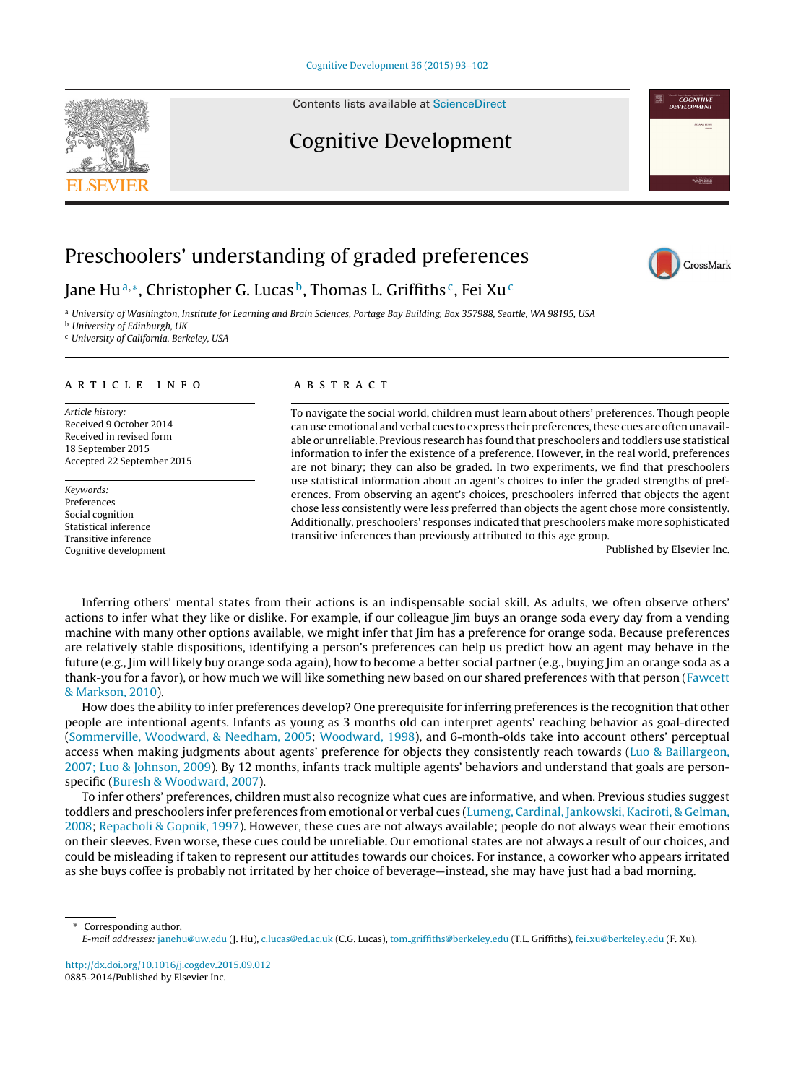Contents lists available at [ScienceDirect](http://www.sciencedirect.com/science/journal/08852014)

## Cognitive Development

# Preschoolers' understanding of graded preferences

Jane Hu<sup>a,∗</sup>, Christopher G. Lucas<sup>b</sup>, Thomas L. Griffiths<sup>c</sup>, Fei Xu<sup>c</sup>

<sup>a</sup> University of Washington, Institute for Learning and Brain Sciences, Portage Bay Building, Box 357988, Seattle, WA 98195, USA

<sup>b</sup> University of Edinburgh, UK

<sup>c</sup> University of California, Berkeley, USA

#### a r t i c l e i n f o

Article history: Received 9 October 2014 Received in revised form 18 September 2015 Accepted 22 September 2015

Keywords: Preferences Social cognition Statistical inference Transitive inference Cognitive development

#### A B S T R A C T

To navigate the social world, children must learn about others' preferences. Though people can use emotional and verbal cues to express their preferences, these cues are often unavailable or unreliable. Previous research has found that preschoolers and toddlers use statistical information to infer the existence of a preference. However, in the real world, preferences are not binary; they can also be graded. In two experiments, we find that preschoolers use statistical information about an agent's choices to infer the graded strengths of preferences. From observing an agent's choices, preschoolers inferred that objects the agent chose less consistently were less preferred than objects the agent chose more consistently. Additionally, preschoolers' responses indicated that preschoolers make more sophisticated transitive inferences than previously attributed to this age group.

Published by Elsevier Inc.

Inferring others' mental states from their actions is an indispensable social skill. As adults, we often observe others' actions to infer what they like or dislike. For example, if our colleague Jim buys an orange soda every day from a vending machine with many other options available, we might infer that Jim has a preference for orange soda. Because preferences are relatively stable dispositions, identifying a person's preferences can help us predict how an agent may behave in the future (e.g., Jim will likely buy orange soda again), how to become a better social partner (e.g., buying Jim an orange soda as a thank-you for a favor), or how much we will like something new based on our shared preferences with that person [\(Fawcett](#page-8-0) [&](#page-8-0) [Markson,](#page-8-0) [2010\).](#page-8-0)

How does the ability to infer preferences develop? One prerequisite for inferring preferences is the recognition that other people are intentional agents. Infants as young as 3 months old can interpret agents' reaching behavior as goal-directed [\(Sommerville,](#page-9-0) [Woodward,](#page-9-0) [&](#page-9-0) [Needham,](#page-9-0) [2005;](#page-9-0) [Woodward,](#page-9-0) [1998\),](#page-9-0) and 6-month-olds take into account others' perceptual access when making judgments about agents' preference for objects they consistently reach towards [\(Luo](#page-8-0) [&](#page-8-0) [Baillargeon,](#page-8-0) [2007;](#page-8-0) [Luo](#page-8-0) [&](#page-8-0) [Johnson,](#page-8-0) [2009\).](#page-8-0) By 12 months, infants track multiple agents' behaviors and understand that goals are personspecific ([Buresh](#page-8-0) [&](#page-8-0) [Woodward,](#page-8-0) [2007\).](#page-8-0)

To infer others' preferences, children must also recognize what cues are informative, and when. Previous studies suggest toddlers and preschoolers infer preferences from emotional or verbal cues ([Lumeng,](#page-8-0) [Cardinal,](#page-8-0) [Jankowski,](#page-8-0) [Kaciroti,](#page-8-0) [&](#page-8-0) [Gelman,](#page-8-0) [2008;](#page-8-0) [Repacholi](#page-8-0) [&](#page-8-0) [Gopnik,](#page-8-0) [1997\).](#page-8-0) However, these cues are not always available; people do not always wear their emotions on their sleeves. Even worse, these cues could be unreliable. Our emotional states are not always a result of our choices, and could be misleading if taken to represent our attitudes towards our choices. For instance, a coworker who appears irritated as she buys coffee is probably not irritated by her choice of beverage—instead, she may have just had a bad morning.

Corresponding author.

[http://dx.doi.org/10.1016/j.cogdev.2015.09.012](dx.doi.org/10.1016/j.cogdev.2015.09.012) 0885-2014/Published by Elsevier Inc.







E-mail addresses: [janehu@uw.edu](mailto:janehu@uw.edu) (J. Hu), [c.lucas@ed.ac.uk](mailto:c.lucas@ed.ac.uk) (C.G. Lucas), tom [griffiths@berkeley.edu](mailto:tom_griffiths@berkeley.edu) (T.L. Griffiths), fei [xu@berkeley.edu](mailto:fei_xu@berkeley.edu) (F. Xu).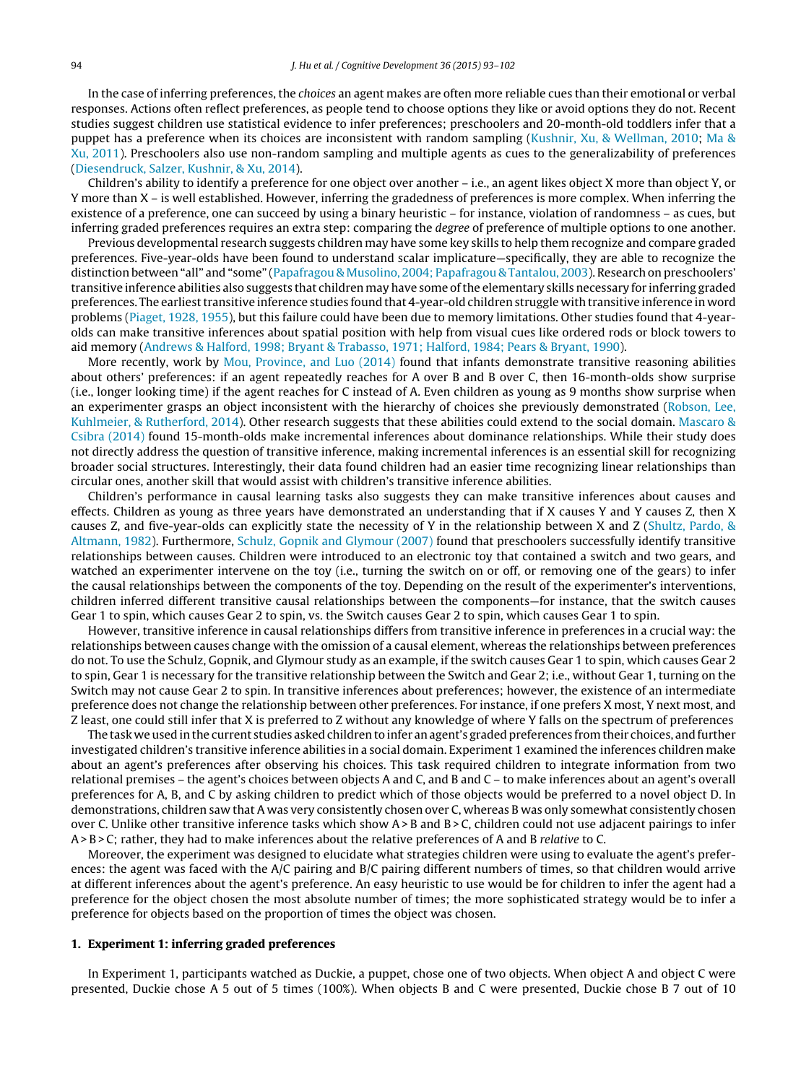In the case of inferring preferences, the choices an agent makes are often more reliable cues than their emotional or verbal responses. Actions often reflect preferences, as people tend to choose options they like or avoid options they do not. Recent studies suggest children use statistical evidence to infer preferences; preschoolers and 20-month-old toddlers infer that a puppet has a preference when its choices are inconsistent with random sampling ([Kushnir,](#page-8-0) [Xu,](#page-8-0) [&](#page-8-0) [Wellman,](#page-8-0) [2010;](#page-8-0) [Ma](#page-8-0) [&](#page-8-0) [Xu,](#page-8-0) [2011\).](#page-8-0) Preschoolers also use non-random sampling and multiple agents as cues to the generalizability of preferences [\(Diesendruck,](#page-8-0) [Salzer,](#page-8-0) [Kushnir,](#page-8-0) [&](#page-8-0) [Xu,](#page-8-0) [2014\).](#page-8-0)

Children's ability to identify a preference for one object over another – i.e., an agent likes object X more than object Y, or Y more than X – is well established. However, inferring the gradedness of preferences is more complex. When inferring the existence of a preference, one can succeed by using a binary heuristic – for instance, violation of randomness – as cues, but inferring graded preferences requires an extra step: comparing the degree of preference of multiple options to one another.

Previous developmental research suggests children may have some key skills to help them recognize and compare graded preferences. Five-year-olds have been found to understand scalar implicature—specifically, they are able to recognize the distinction between "all" and "some" [\(Papafragou](#page-8-0) [&](#page-8-0) [Musolino,](#page-8-0) [2004;](#page-8-0) [Papafragou](#page-8-0) [&](#page-8-0) [Tantalou,](#page-8-0) [2003\).](#page-8-0) Research on preschoolers' transitive inference abilities also suggests that children may have some ofthe elementary skills necessary for inferring graded preferences. The earliest transitive inference studies found that 4-year-old children struggle with transitive inference in word problems [\(Piaget,](#page-8-0) [1928,](#page-8-0) [1955\),](#page-8-0) but this failure could have been due to memory limitations. Other studies found that 4-yearolds can make transitive inferences about spatial position with help from visual cues like ordered rods or block towers to aid memory ([Andrews](#page-8-0) [&](#page-8-0) [Halford,](#page-8-0) [1998;](#page-8-0) [Bryant](#page-8-0) [&](#page-8-0) [Trabasso,](#page-8-0) [1971;](#page-8-0) [Halford,](#page-8-0) [1984;](#page-8-0) [Pears](#page-8-0) [&](#page-8-0) [Bryant,](#page-8-0) [1990\).](#page-8-0)

More recently, work by [Mou,](#page-8-0) [Province,](#page-8-0) [and](#page-8-0) [Luo](#page-8-0) [\(2014\)](#page-8-0) found that infants demonstrate transitive reasoning abilities about others' preferences: if an agent repeatedly reaches for A over B and B over C, then 16-month-olds show surprise (i.e., longer looking time) if the agent reaches for C instead of A. Even children as young as 9 months show surprise when an experimenter grasps an object inconsistent with the hierarchy of choices she previously demonstrated ([Robson,](#page-8-0) [Lee,](#page-8-0) [Kuhlmeier,](#page-8-0) [&](#page-8-0) [Rutherford,](#page-8-0) [2014\).](#page-8-0) Other research suggests that these abilities could extend to the social domain. [Mascaro](#page-8-0) [&](#page-8-0) [Csibra](#page-8-0) [\(2014\)](#page-8-0) found 15-month-olds make incremental inferences about dominance relationships. While their study does not directly address the question of transitive inference, making incremental inferences is an essential skill for recognizing broader social structures. Interestingly, their data found children had an easier time recognizing linear relationships than circular ones, another skill that would assist with children's transitive inference abilities.

Children's performance in causal learning tasks also suggests they can make transitive inferences about causes and effects. Children as young as three years have demonstrated an understanding that if X causes Y and Y causes Z, then X causes Z, and five-year-olds can explicitly state the necessity of Y in the relationship between X and Z [\(Shultz,](#page-8-0) [Pardo,](#page-8-0) [&](#page-8-0) [Altmann,](#page-8-0) [1982\).](#page-8-0) Furthermore, [Schulz,](#page-8-0) [Gopnik](#page-8-0) [and](#page-8-0) [Glymour](#page-8-0) [\(2007\)](#page-8-0) found that preschoolers successfully identify transitive relationships between causes. Children were introduced to an electronic toy that contained a switch and two gears, and watched an experimenter intervene on the toy (i.e., turning the switch on or off, or removing one of the gears) to infer the causal relationships between the components of the toy. Depending on the result of the experimenter's interventions, children inferred different transitive causal relationships between the components—for instance, that the switch causes Gear 1 to spin, which causes Gear 2 to spin, vs. the Switch causes Gear 2 to spin, which causes Gear 1 to spin.

However, transitive inference in causal relationships differs from transitive inference in preferences in a crucial way: the relationships between causes change with the omission of a causal element, whereas the relationships between preferences do not. To use the Schulz, Gopnik, and Glymour study as an example, if the switch causes Gear 1 to spin, which causes Gear 2 to spin, Gear 1 is necessary for the transitive relationship between the Switch and Gear 2; i.e., without Gear 1, turning on the Switch may not cause Gear 2 to spin. In transitive inferences about preferences; however, the existence of an intermediate preference does not change the relationship between other preferences. For instance, if one prefers X most, Y next most, and Z least, one could still infer that X is preferred to Z without any knowledge of where Y falls on the spectrum of preferences

The task we used in the current studies asked children to infer an agent's graded preferences from their choices, and further investigated children's transitive inference abilities in a social domain. Experiment 1 examined the inferences children make about an agent's preferences after observing his choices. This task required children to integrate information from two relational premises – the agent's choices between objects A and C, and B and C – to make inferences about an agent's overall preferences for A, B, and C by asking children to predict which of those objects would be preferred to a novel object D. In demonstrations, children saw that A was very consistently chosen over C, whereas B was only somewhat consistently chosen over C. Unlike other transitive inference tasks which show A> B and B > C, children could not use adjacent pairings to infer A> B > C; rather, they had to make inferences about the relative preferences of A and B relative to C.

Moreover, the experiment was designed to elucidate what strategies children were using to evaluate the agent's preferences: the agent was faced with the A/C pairing and B/C pairing different numbers of times, so that children would arrive at different inferences about the agent's preference. An easy heuristic to use would be for children to infer the agent had a preference for the object chosen the most absolute number of times; the more sophisticated strategy would be to infer a preference for objects based on the proportion of times the object was chosen.

### **1. Experiment 1: inferring graded preferences**

In Experiment 1, participants watched as Duckie, a puppet, chose one of two objects. When object A and object C were presented, Duckie chose A 5 out of 5 times (100%). When objects B and C were presented, Duckie chose B 7 out of 10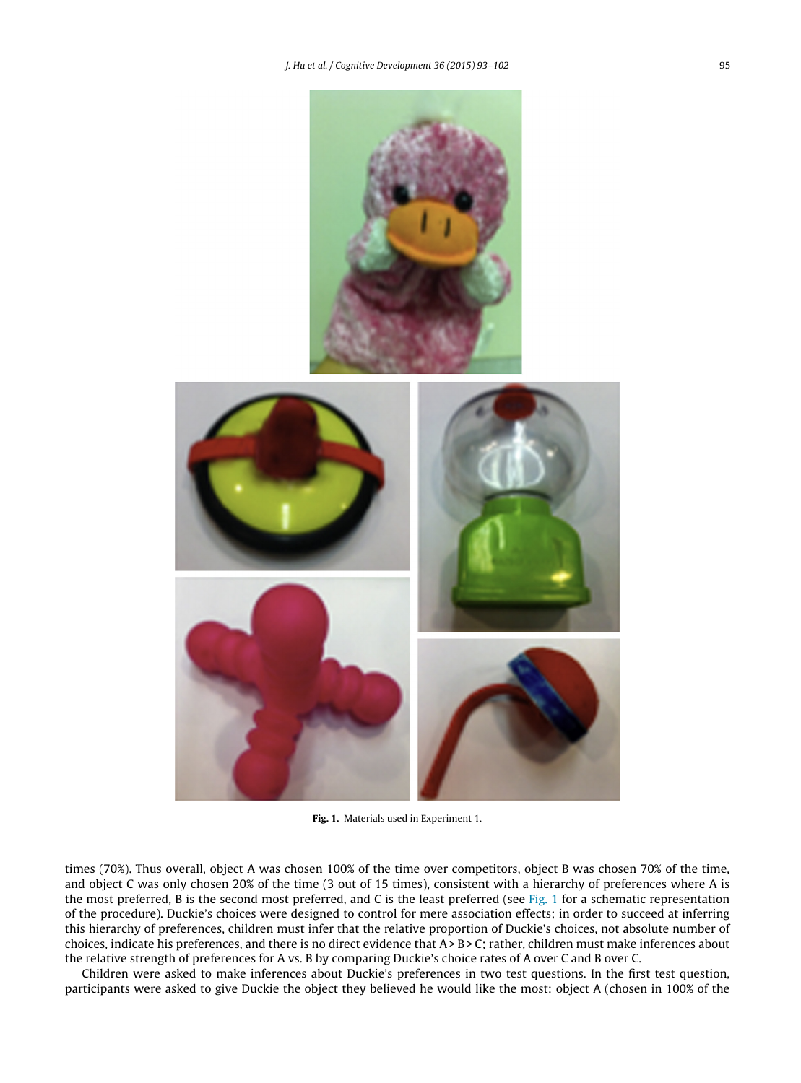<span id="page-2-0"></span>

**Fig. 1.** Materials used in Experiment 1.

times (70%). Thus overall, object A was chosen 100% of the time over competitors, object B was chosen 70% of the time, and object C was only chosen 20% of the time (3 out of 15 times), consistent with a hierarchy of preferences where A is the most preferred, B is the second most preferred, and C is the least preferred (see Fig. 1 for a schematic representation of the procedure). Duckie's choices were designed to control for mere association effects; in order to succeed at inferring this hierarchy of preferences, children must infer that the relative proportion of Duckie's choices, not absolute number of choices, indicate his preferences, and there is no direct evidence that A> B > C; rather, children must make inferences about the relative strength of preferences for A vs. B by comparing Duckie's choice rates of A over C and B over C.

Children were asked to make inferences about Duckie's preferences in two test questions. In the first test question, participants were asked to give Duckie the object they believed he would like the most: object A (chosen in 100% of the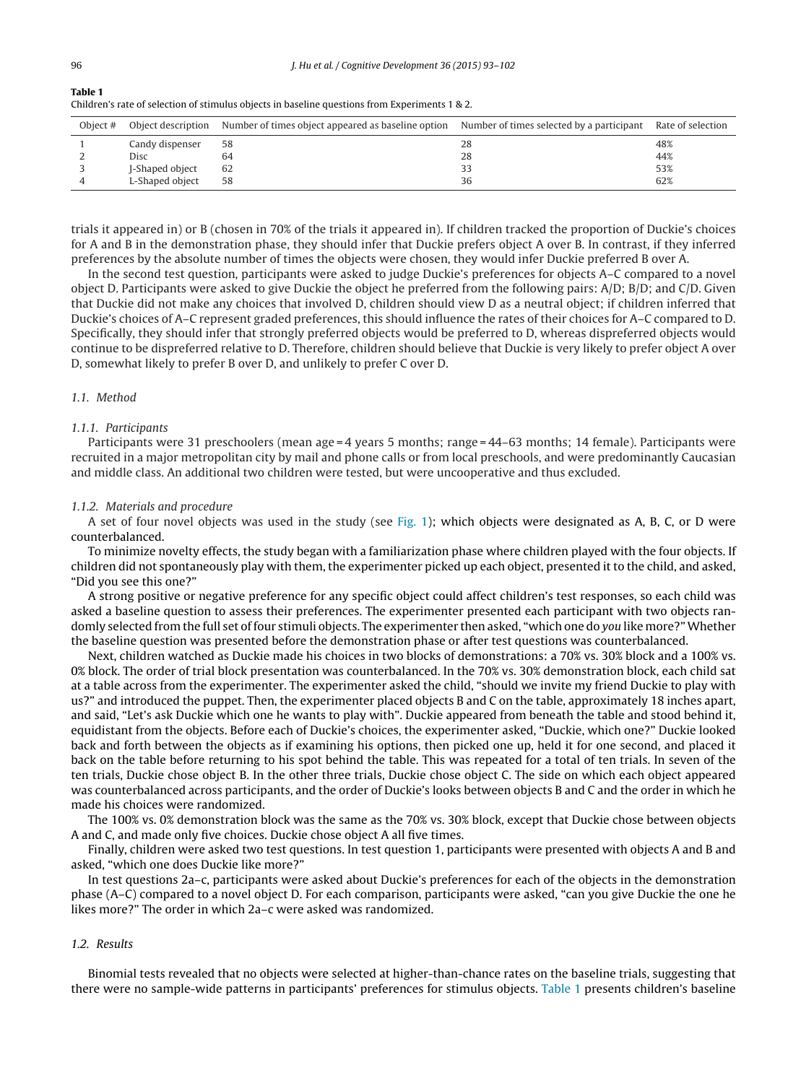| Table 1                                                                                        |  |
|------------------------------------------------------------------------------------------------|--|
| Children's rate of selection of stimulus objects in baseline questions from Experiments 1 & 2. |  |

| Object # |                 | Object description Number of times object appeared as baseline option Number of times selected by a participant Rate of selection |    |     |
|----------|-----------------|-----------------------------------------------------------------------------------------------------------------------------------|----|-----|
|          | Candy dispenser | 58                                                                                                                                | 28 | 48% |
|          | Disc            | 64                                                                                                                                | 28 | 44% |
|          | J-Shaped object | 62                                                                                                                                | 33 | 53% |
|          | L-Shaped object | 58                                                                                                                                | 36 | 62% |

trials it appeared in) or B (chosen in 70% of the trials it appeared in). If children tracked the proportion of Duckie's choices for A and B in the demonstration phase, they should infer that Duckie prefers object A over B. In contrast, if they inferred preferences by the absolute number of times the objects were chosen, they would infer Duckie preferred B over A.

In the second test question, participants were asked to judge Duckie's preferences for objects A–C compared to a novel object D. Participants were asked to give Duckie the object he preferred from the following pairs: A/D; B/D; and C/D. Given that Duckie did not make any choices that involved D, children should view D as a neutral object; if children inferred that Duckie's choices of A–C represent graded preferences, this should influence the rates of their choices for A–C compared to D. Specifically, they should infer that strongly preferred objects would be preferred to D, whereas dispreferred objects would continue to be dispreferred relative to D. Therefore, children should believe that Duckie is very likely to prefer object A over D, somewhat likely to prefer B over D, and unlikely to prefer C over D.

## 1.1. Method

### 1.1.1. Participants

Participants were 31 preschoolers (mean age = 4 years 5 months; range = 44–63 months; 14 female). Participants were recruited in a major metropolitan city by mail and phone calls or from local preschools, and were predominantly Caucasian and middle class. An additional two children were tested, but were uncooperative and thus excluded.

### 1.1.2. Materials and procedure

A set of four novel objects was used in the study (see [Fig.](#page-2-0) 1); which objects were designated as A, B, C, or D were counterbalanced.

To minimize novelty effects, the study began with a familiarization phase where children played with the four objects. If children did not spontaneously play with them, the experimenter picked up each object, presented it to the child, and asked, "Did you see this one?"

A strong positive or negative preference for any specific object could affect children's test responses, so each child was asked a baseline question to assess their preferences. The experimenter presented each participant with two objects randomly selected from the full set of four stimuli objects. The experimenter then asked, "which one do you like more?" Whether the baseline question was presented before the demonstration phase or after test questions was counterbalanced.

Next, children watched as Duckie made his choices in two blocks of demonstrations: a 70% vs. 30% block and a 100% vs. 0% block. The order of trial block presentation was counterbalanced. In the 70% vs. 30% demonstration block, each child sat at a table across from the experimenter. The experimenter asked the child, "should we invite my friend Duckie to play with us?" and introduced the puppet. Then, the experimenter placed objects B and C on the table, approximately 18 inches apart, and said, "Let's ask Duckie which one he wants to play with". Duckie appeared from beneath the table and stood behind it, equidistant from the objects. Before each of Duckie's choices, the experimenter asked, "Duckie, which one?" Duckie looked back and forth between the objects as if examining his options, then picked one up, held it for one second, and placed it back on the table before returning to his spot behind the table. This was repeated for a total of ten trials. In seven of the ten trials, Duckie chose object B. In the other three trials, Duckie chose object C. The side on which each object appeared was counterbalanced across participants, and the order of Duckie's looks between objects B and C and the order in which he made his choices were randomized.

The 100% vs. 0% demonstration block was the same as the 70% vs. 30% block, except that Duckie chose between objects A and C, and made only five choices. Duckie chose object A all five times.

Finally, children were asked two test questions. In test question 1, participants were presented with objects A and B and asked, "which one does Duckie like more?"

In test questions 2a–c, participants were asked about Duckie's preferences for each of the objects in the demonstration phase (A–C) compared to a novel object D. For each comparison, participants were asked, "can you give Duckie the one he likes more?" The order in which 2a–c were asked was randomized.

### 1.2. Results

Binomial tests revealed that no objects were selected at higher-than-chance rates on the baseline trials, suggesting that there were no sample-wide patterns in participants' preferences for stimulus objects. Table 1 presents children's baseline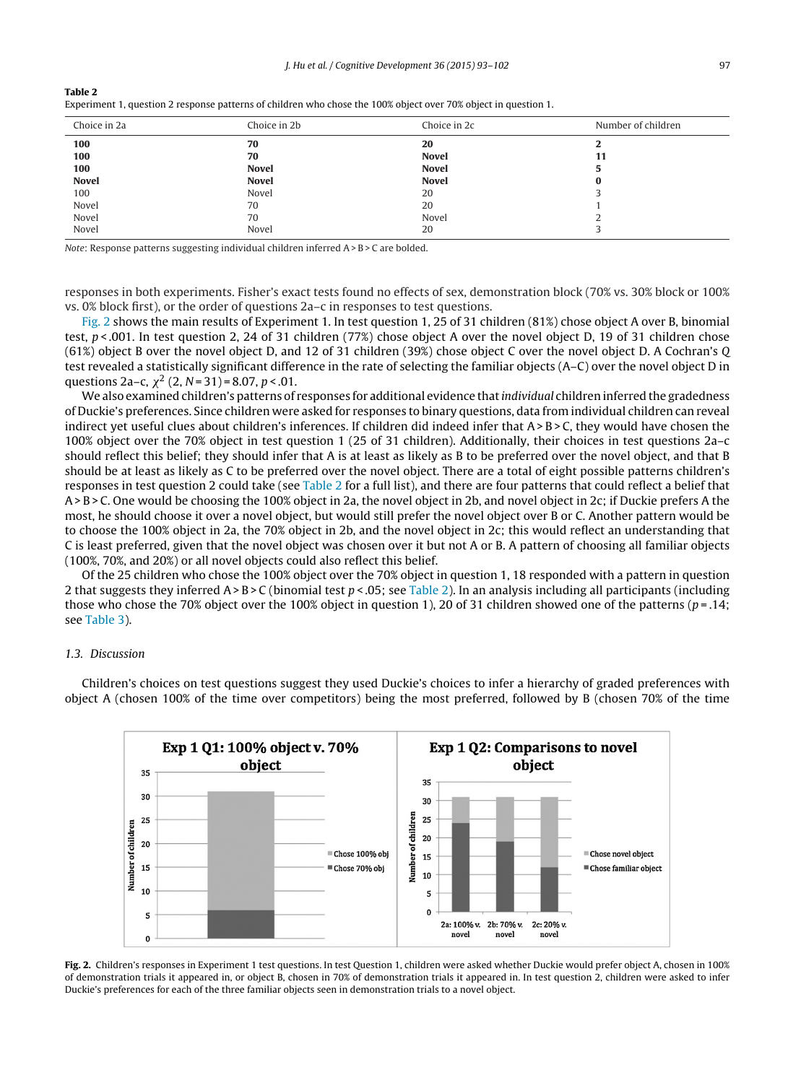|--|--|

| Choice in 2a | Choice in 2b | Choice in 2c | Number of children |
|--------------|--------------|--------------|--------------------|
| 100          | 70           | 20           | ∠                  |
| 100          | 70           | <b>Novel</b> | 11                 |
| 100          | <b>Novel</b> | <b>Novel</b> |                    |
| <b>Novel</b> | <b>Novel</b> | <b>Novel</b> | 0                  |
| 100          | Novel        | 20           |                    |
| Novel        | 70           | 20           |                    |
| Novel        | 70           | Novel        |                    |
| Novel        | Novel        | 20           |                    |

Note: Response patterns suggesting individual children inferred A> B > C are bolded.

responses in both experiments. Fisher's exact tests found no effects of sex, demonstration block (70% vs. 30% block or 100% vs. 0% block first), or the order of questions 2a–c in responses to test questions.

Fig. 2 shows the main results of Experiment 1. In test question 1, 25 of 31 children (81%) chose object A over B, binomial test,  $p < .001$ . In test question 2, 24 of 31 children (77%) chose object A over the novel object D, 19 of 31 children chose (61%) object B over the novel object D, and 12 of 31 children (39%) chose object C over the novel object D. A Cochran's Q test revealed a statistically significant difference in the rate of selecting the familiar objects (A–C) over the novel object D in questions 2a–c,  $\chi^2$  (2, N = 31) = 8.07, p < .01.

We also examined children's patterns of responses for additional evidence that *individual* children inferred the gradedness of Duckie's preferences. Since children were asked for responses to binary questions, data from individual children can reveal indirect yet useful clues about children's inferences. If children did indeed infer that A>B>C, they would have chosen the 100% object over the 70% object in test question 1 (25 of 31 children). Additionally, their choices in test questions 2a–c should reflect this belief; they should infer that A is at least as likely as B to be preferred over the novel object, and that B should be at least as likely as C to be preferred over the novel object. There are a total of eight possible patterns children's responses in test question 2 could take (see Table 2 for a full list), and there are four patterns that could reflect a belief that A> B > C. One would be choosing the 100% object in 2a, the novel object in 2b, and novel object in 2c; if Duckie prefers A the most, he should choose it over a novel object, but would still prefer the novel object over B or C. Another pattern would be to choose the 100% object in 2a, the 70% object in 2b, and the novel object in 2c; this would reflect an understanding that C is least preferred, given that the novel object was chosen over it but not A or B. A pattern of choosing all familiar objects (100%, 70%, and 20%) or all novel objects could also reflect this belief.

Of the 25 children who chose the 100% object over the 70% object in question 1, 18 responded with a pattern in question 2 that suggests they inferred  $A > B > C$  (binomial test  $p < .05$ ; see Table 2). In an analysis including all participants (including those who chose the 70% object over the 100% object in question 1), 20 of 31 children showed one of the patterns ( $p = .14$ ; see [Table](#page-5-0) 3).

## 1.3. Discussion

Children's choices on test questions suggest they used Duckie's choices to infer a hierarchy of graded preferences with object A (chosen 100% of the time over competitors) being the most preferred, followed by B (chosen 70% of the time



**Fig. 2.** Children's responses in Experiment 1 test questions. In test Question 1, children were asked whether Duckie would prefer object A, chosen in 100% of demonstration trials it appeared in, or object B, chosen in 70% of demonstration trials it appeared in. In test question 2, children were asked to infer Duckie's preferences for each of the three familiar objects seen in demonstration trials to a novel object.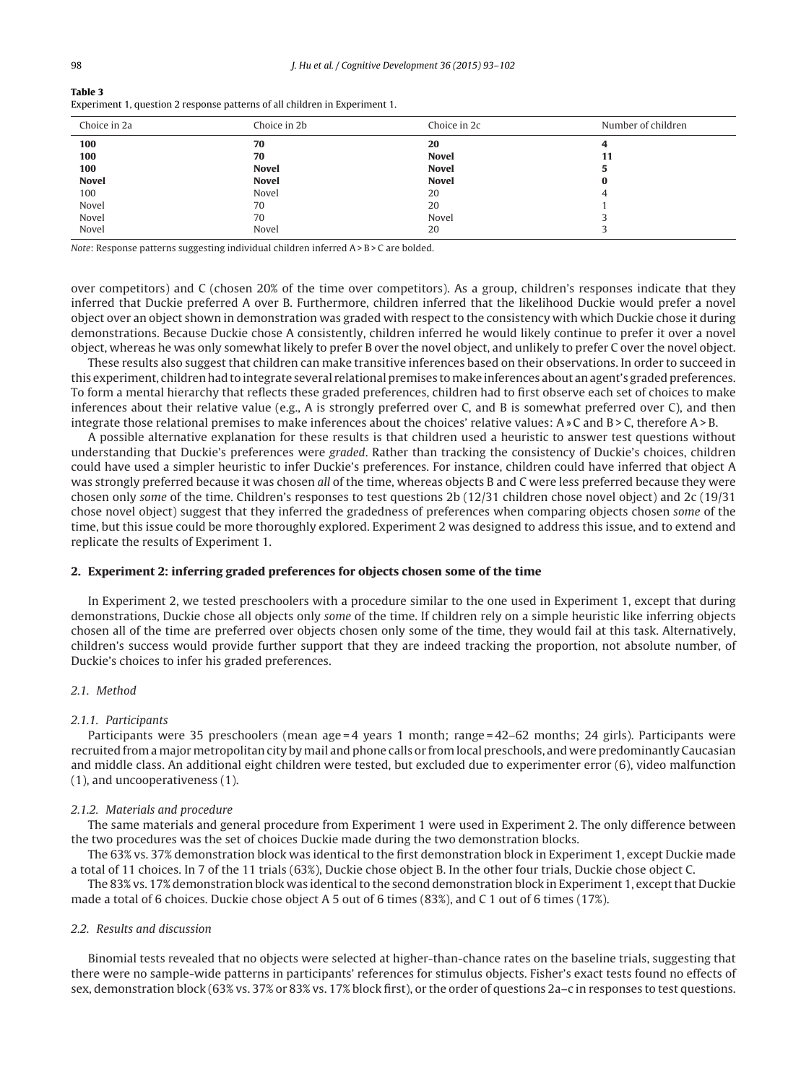### <span id="page-5-0"></span>**Table 3**

|  |  |  |  |  | Experiment 1, question 2 response patterns of all children in Experiment 1. |  |
|--|--|--|--|--|-----------------------------------------------------------------------------|--|
|--|--|--|--|--|-----------------------------------------------------------------------------|--|

| Choice in 2a | Choice in 2b | Choice in 2c | Number of children |
|--------------|--------------|--------------|--------------------|
| 100          | 70           | 20           | 4                  |
| 100          | 70           | <b>Novel</b> | 11                 |
| 100          | <b>Novel</b> | <b>Novel</b> | 5                  |
| <b>Novel</b> | <b>Novel</b> | <b>Novel</b> | 0                  |
| 100          | Novel        | 20           | 4                  |
| Novel        | 70           | 20           |                    |
| Novel        | 70           | Novel        |                    |
| Novel        | Novel        | 20           |                    |

Note: Response patterns suggesting individual children inferred A> B > C are bolded.

over competitors) and C (chosen 20% of the time over competitors). As a group, children's responses indicate that they inferred that Duckie preferred A over B. Furthermore, children inferred that the likelihood Duckie would prefer a novel object over an object shown in demonstration was graded with respect to the consistency with which Duckie chose it during demonstrations. Because Duckie chose A consistently, children inferred he would likely continue to prefer it over a novel object, whereas he was only somewhat likely to prefer B over the novel object, and unlikely to prefer C over the novel object.

These results also suggest that children can make transitive inferences based on their observations. In order to succeed in this experiment, children had to integrate several relational premises to make inferences about an agent's graded preferences. To form a mental hierarchy that reflects these graded preferences, children had to first observe each set of choices to make inferences about their relative value (e.g., A is strongly preferred over C, and B is somewhat preferred over C), and then integrate those relational premises to make inferences about the choices' relative values: A» C and B > C, therefore A> B.

A possible alternative explanation for these results is that children used a heuristic to answer test questions without understanding that Duckie's preferences were graded. Rather than tracking the consistency of Duckie's choices, children could have used a simpler heuristic to infer Duckie's preferences. For instance, children could have inferred that object A was strongly preferred because it was chosen all of the time, whereas objects B and C were less preferred because they were chosen only some of the time. Children's responses to test questions 2b (12/31 children chose novel object) and 2c (19/31 chose novel object) suggest that they inferred the gradedness of preferences when comparing objects chosen some of the time, but this issue could be more thoroughly explored. Experiment 2 was designed to address this issue, and to extend and replicate the results of Experiment 1.

#### **2. Experiment 2: inferring graded preferences for objects chosen some of the time**

In Experiment 2, we tested preschoolers with a procedure similar to the one used in Experiment 1, except that during demonstrations, Duckie chose all objects only some of the time. If children rely on a simple heuristic like inferring objects chosen all of the time are preferred over objects chosen only some of the time, they would fail at this task. Alternatively, children's success would provide further support that they are indeed tracking the proportion, not absolute number, of Duckie's choices to infer his graded preferences.

#### 2.1. Method

#### 2.1.1. Participants

Participants were 35 preschoolers (mean age = 4 years 1 month; range = 42–62 months; 24 girls). Participants were recruited from a major metropolitan city by mail and phone calls or from local preschools, and were predominantly Caucasian and middle class. An additional eight children were tested, but excluded due to experimenter error (6), video malfunction (1), and uncooperativeness (1).

#### 2.1.2. Materials and procedure

The same materials and general procedure from Experiment 1 were used in Experiment 2. The only difference between the two procedures was the set of choices Duckie made during the two demonstration blocks.

The 63% vs. 37% demonstration block was identical to the first demonstration block in Experiment 1, except Duckie made a total of 11 choices. In 7 of the 11 trials (63%), Duckie chose object B. In the other four trials, Duckie chose object C.

The 83% vs. 17% demonstration block was identical to the second demonstration block in Experiment 1, except that Duckie made a total of 6 choices. Duckie chose object A 5 out of 6 times (83%), and C 1 out of 6 times (17%).

#### 2.2. Results and discussion

Binomial tests revealed that no objects were selected at higher-than-chance rates on the baseline trials, suggesting that there were no sample-wide patterns in participants' references for stimulus objects. Fisher's exact tests found no effects of sex, demonstration block (63% vs. 37% or 83% vs. 17% block first), or the order of questions 2a–c in responses to test questions.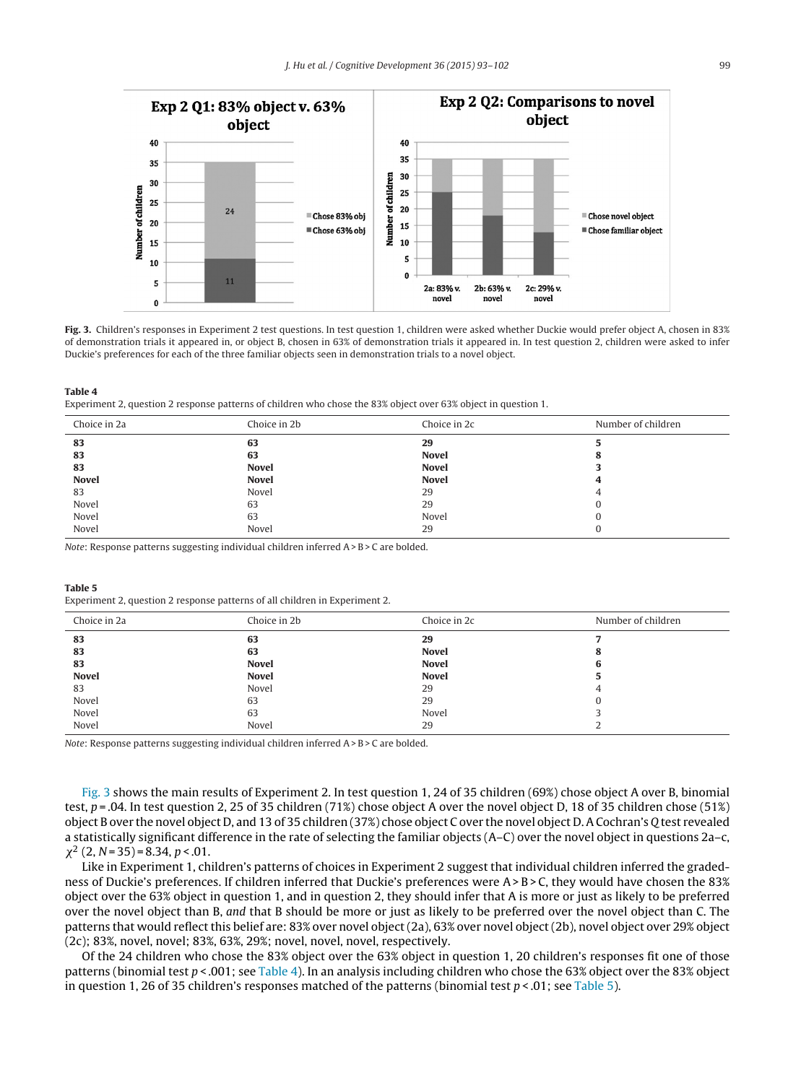

**Fig. 3.** Children's responses in Experiment 2 test questions. In test question 1, children were asked whether Duckie would prefer object A, chosen in 83% of demonstration trials it appeared in, or object B, chosen in 63% of demonstration trials it appeared in. In test question 2, children were asked to infer Duckie's preferences for each of the three familiar objects seen in demonstration trials to a novel object.

**Table 4**

Experiment 2, question 2 response patterns of children who chose the 83% object over 63% object in question 1.

| Choice in 2a | Choice in 2b | Choice in 2c | Number of children |
|--------------|--------------|--------------|--------------------|
| 83           | 63           | 29           |                    |
| 83           | 63           | <b>Novel</b> | o                  |
| 83           | <b>Novel</b> | <b>Novel</b> |                    |
| <b>Novel</b> | <b>Novel</b> | <b>Novel</b> |                    |
| 83           | Novel        | 29           |                    |
| Novel        | 63           | 29           |                    |
| Novel        | 63           | Novel        |                    |
| Novel        | Novel        | 29           |                    |

Note: Response patterns suggesting individual children inferred A> B > C are bolded.

**Table 5**

Experiment 2, question 2 response patterns of all children in Experiment 2.

| Choice in 2a | Choice in 2b | Choice in 2c | Number of children |
|--------------|--------------|--------------|--------------------|
| 83           | 63           | 29           |                    |
| 83           | 63           | <b>Novel</b> | o                  |
| 83           | <b>Novel</b> | <b>Novel</b> |                    |
| <b>Novel</b> | <b>Novel</b> | <b>Novel</b> |                    |
| 83           | Novel        | 29           |                    |
| Novel        | 63           | 29           |                    |
| Novel        | 63           | Novel        |                    |
| Novel        | Novel        | 29           |                    |

Note: Response patterns suggesting individual children inferred A> B > C are bolded.

Fig. 3 shows the main results of Experiment 2. In test question 1, 24 of 35 children (69%) chose object A over B, binomial test,  $p = 0.04$ . In test question 2, 25 of 35 children (71%) chose object A over the novel object D, 18 of 35 children chose (51%) object B over the novel object D, and 13 of 35 children (37%) chose object C over the novel object D. A Cochran's Q test revealed a statistically significant difference in the rate of selecting the familiar objects (A–C) over the novel object in questions 2a–c,  $\chi^2$  (2, N = 35) = 8.34, p < 0.01.

Like in Experiment 1, children's patterns of choices in Experiment 2 suggest that individual children inferred the gradedness of Duckie's preferences. If children inferred that Duckie's preferences were A> B > C, they would have chosen the 83% object over the 63% object in question 1, and in question 2, they should infer that A is more or just as likely to be preferred over the novel object than B, and that B should be more or just as likely to be preferred over the novel object than C. The patterns that would reflect this belief are: 83% over novel object (2a), 63% over novel object (2b), novel object over 29% object (2c); 83%, novel, novel; 83%, 63%, 29%; novel, novel, novel, respectively.

Of the 24 children who chose the 83% object over the 63% object in question 1, 20 children's responses fit one of those patterns (binomial test  $p < .001$ ; see Table 4). In an analysis including children who chose the 63% object over the 83% object in question 1, 26 of 35 children's responses matched of the patterns (binomial test  $p < .01$ ; see Table 5).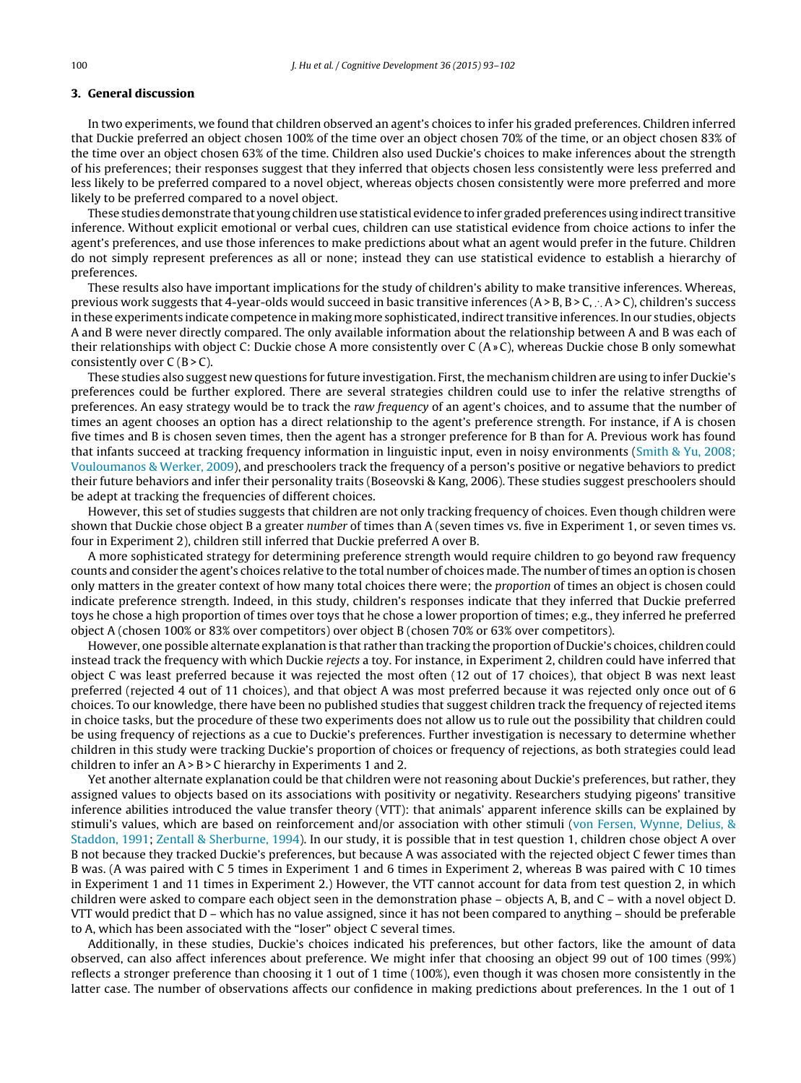## **3. General discussion**

In two experiments, we found that children observed an agent's choices to infer his graded preferences. Children inferred that Duckie preferred an object chosen 100% of the time over an object chosen 70% of the time, or an object chosen 83% of the time over an object chosen 63% of the time. Children also used Duckie's choices to make inferences about the strength of his preferences; their responses suggest that they inferred that objects chosen less consistently were less preferred and less likely to be preferred compared to a novel object, whereas objects chosen consistently were more preferred and more likely to be preferred compared to a novel object.

These studies demonstrate that young children use statistical evidence to infer graded preferences using indirect transitive inference. Without explicit emotional or verbal cues, children can use statistical evidence from choice actions to infer the agent's preferences, and use those inferences to make predictions about what an agent would prefer in the future. Children do not simply represent preferences as all or none; instead they can use statistical evidence to establish a hierarchy of preferences.

These results also have important implications for the study of children's ability to make transitive inferences. Whereas, previous work suggests that 4-year-olds would succeed in basic transitive inferences (A> B, B> C, ∴ A> C), children's success in these experiments indicate competence in making more sophisticated, indirect transitive inferences. In our studies, objects A and B were never directly compared. The only available information about the relationship between A and B was each of their relationships with object C: Duckie chose A more consistently over C (A» C), whereas Duckie chose B only somewhat consistently over  $C(B > C)$ .

These studies also suggest new questions for future investigation. First, the mechanism children are using to infer Duckie's preferences could be further explored. There are several strategies children could use to infer the relative strengths of preferences. An easy strategy would be to track the raw frequency of an agent's choices, and to assume that the number of times an agent chooses an option has a direct relationship to the agent's preference strength. For instance, if A is chosen five times and B is chosen seven times, then the agent has a stronger preference for B than for A. Previous work has found that infants succeed at tracking frequency information in linguistic input, even in noisy environments ([Smith](#page-8-0) [&](#page-8-0) [Yu,](#page-8-0) [2008;](#page-8-0) [Vouloumanos](#page-8-0) [&](#page-8-0) [Werker,](#page-8-0) [2009\),](#page-8-0) and preschoolers track the frequency of a person's positive or negative behaviors to predict their future behaviors and infer their personality traits (Boseovski & Kang, 2006). These studies suggest preschoolers should be adept at tracking the frequencies of different choices.

However, this set of studies suggests that children are not only tracking frequency of choices. Even though children were shown that Duckie chose object B a greater number of times than A (seven times vs. five in Experiment 1, or seven times vs. four in Experiment 2), children still inferred that Duckie preferred A over B.

A more sophisticated strategy for determining preference strength would require children to go beyond raw frequency counts and consider the agent's choices relative to the total number of choices made. The number oftimes an option is chosen only matters in the greater context of how many total choices there were; the proportion of times an object is chosen could indicate preference strength. Indeed, in this study, children's responses indicate that they inferred that Duckie preferred toys he chose a high proportion of times over toys that he chose a lower proportion of times; e.g., they inferred he preferred object A (chosen 100% or 83% over competitors) over object B (chosen 70% or 63% over competitors).

However, one possible alternate explanation is that rather than tracking the proportion of Duckie's choices, children could instead track the frequency with which Duckie rejects a toy. For instance, in Experiment 2, children could have inferred that object C was least preferred because it was rejected the most often (12 out of 17 choices), that object B was next least preferred (rejected 4 out of 11 choices), and that object A was most preferred because it was rejected only once out of 6 choices. To our knowledge, there have been no published studies that suggest children track the frequency of rejected items in choice tasks, but the procedure of these two experiments does not allow us to rule out the possibility that children could be using frequency of rejections as a cue to Duckie's preferences. Further investigation is necessary to determine whether children in this study were tracking Duckie's proportion of choices or frequency of rejections, as both strategies could lead children to infer an  $A > B > C$  hierarchy in Experiments 1 and 2.

Yet another alternate explanation could be that children were not reasoning about Duckie's preferences, but rather, they assigned values to objects based on its associations with positivity or negativity. Researchers studying pigeons' transitive inference abilities introduced the value transfer theory (VTT): that animals' apparent inference skills can be explained by stimuli's values, which are based on reinforcement and/or association with other stimuli [\(von](#page-9-0) [Fersen,](#page-9-0) [Wynne,](#page-9-0) [Delius,](#page-9-0) [&](#page-9-0) [Staddon,](#page-9-0) [1991;](#page-9-0) [Zentall](#page-9-0) [&](#page-9-0) [Sherburne,](#page-9-0) [1994\).](#page-9-0) In our study, it is possible that in test question 1, children chose object A over B not because they tracked Duckie's preferences, but because A was associated with the rejected object C fewer times than B was. (A was paired with C 5 times in Experiment 1 and 6 times in Experiment 2, whereas B was paired with C 10 times in Experiment 1 and 11 times in Experiment 2.) However, the VTT cannot account for data from test question 2, in which children were asked to compare each object seen in the demonstration phase – objects A, B, and C – with a novel object D. VTT would predict that D – which has no value assigned, since it has not been compared to anything – should be preferable to A, which has been associated with the "loser" object C several times.

Additionally, in these studies, Duckie's choices indicated his preferences, but other factors, like the amount of data observed, can also affect inferences about preference. We might infer that choosing an object 99 out of 100 times (99%) reflects a stronger preference than choosing it 1 out of 1 time (100%), even though it was chosen more consistently in the latter case. The number of observations affects our confidence in making predictions about preferences. In the 1 out of 1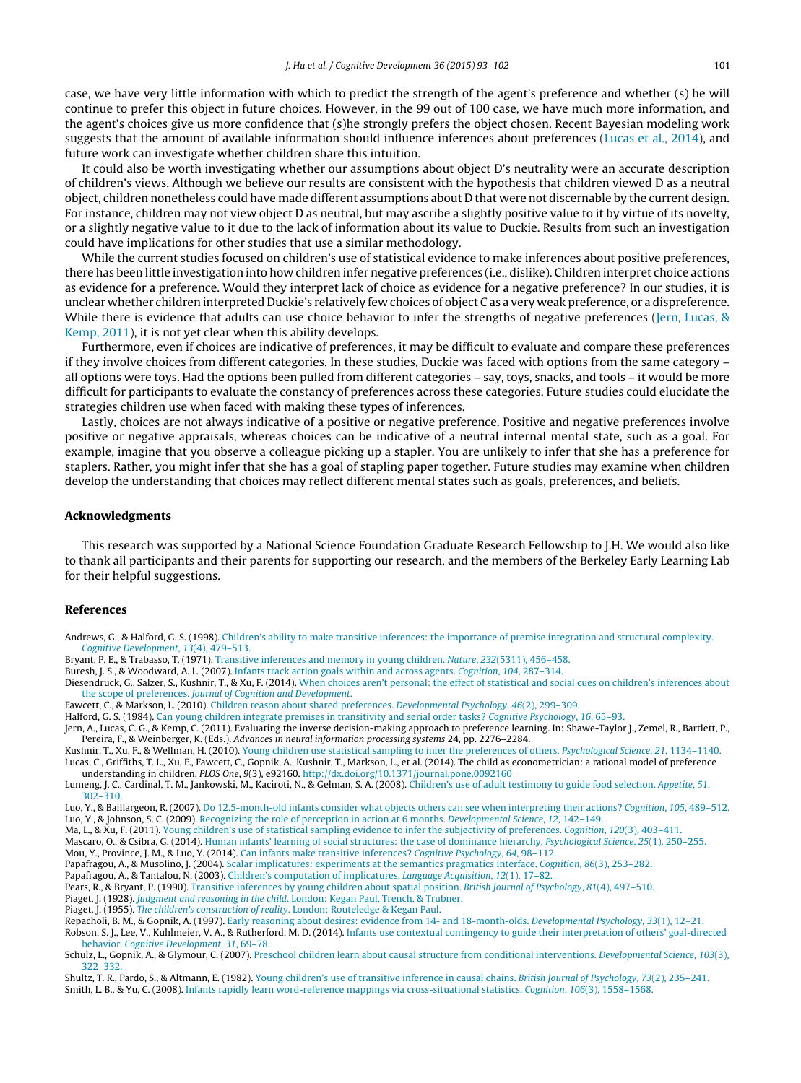<span id="page-8-0"></span>case, we have very little information with which to predict the strength of the agent's preference and whether (s) he will continue to prefer this object in future choices. However, in the 99 out of 100 case, we have much more information, and the agent's choices give us more confidence that (s)he strongly prefers the object chosen. Recent Bayesian modeling work suggests that the amount of available information should influence inferences about preferences (Lucas et al., 2014), and future work can investigate whether children share this intuition.

It could also be worth investigating whether our assumptions about object D's neutrality were an accurate description of children's views. Although we believe our results are consistent with the hypothesis that children viewed D as a neutral object, children nonetheless could have made different assumptions about D that were not discernable by the current design. For instance, children may not view object D as neutral, but may ascribe a slightly positive value to it by virtue of its novelty, or a slightly negative value to it due to the lack of information about its value to Duckie. Results from such an investigation could have implications for other studies that use a similar methodology.

While the current studies focused on children's use of statistical evidence to make inferences about positive preferences, there has been little investigation into how children infer negative preferences (i.e., dislike). Children interpret choice actions as evidence for a preference. Would they interpret lack of choice as evidence for a negative preference? In our studies, it is unclear whether children interpreted Duckie's relatively few choices of object C as a very weak preference, or a dispreference. While there is evidence that adults can use choice behavior to infer the strengths of negative preferences (Jern, Lucas, & Kemp, 2011), it is not yet clear when this ability develops.

Furthermore, even if choices are indicative of preferences, it may be difficult to evaluate and compare these preferences if they involve choices from different categories. In these studies, Duckie was faced with options from the same category – all options were toys. Had the options been pulled from different categories – say, toys, snacks, and tools – it would be more difficult for participants to evaluate the constancy of preferences across these categories. Future studies could elucidate the strategies children use when faced with making these types of inferences.

Lastly, choices are not always indicative of a positive or negative preference. Positive and negative preferences involve positive or negative appraisals, whereas choices can be indicative of a neutral internal mental state, such as a goal. For example, imagine that you observe a colleague picking up a stapler. You are unlikely to infer that she has a preference for staplers. Rather, you might infer that she has a goal of stapling paper together. Future studies may examine when children develop the understanding that choices may reflect different mental states such as goals, preferences, and beliefs.

#### **Acknowledgments**

This research was supported by a National Science Foundation Graduate Research Fellowship to J.H. We would also like to thank all participants and their parents for supporting our research, and the members of the Berkeley Early Learning Lab for their helpful suggestions.

#### **References**

Andrews, G., & Halford, G. S. (1998). [Children's](http://refhub.elsevier.com/S0885-2014(15)30008-3/sbref0005) [ability](http://refhub.elsevier.com/S0885-2014(15)30008-3/sbref0005) [to](http://refhub.elsevier.com/S0885-2014(15)30008-3/sbref0005) [make](http://refhub.elsevier.com/S0885-2014(15)30008-3/sbref0005) [transitive](http://refhub.elsevier.com/S0885-2014(15)30008-3/sbref0005) [inferences:](http://refhub.elsevier.com/S0885-2014(15)30008-3/sbref0005) [the](http://refhub.elsevier.com/S0885-2014(15)30008-3/sbref0005) [importance](http://refhub.elsevier.com/S0885-2014(15)30008-3/sbref0005) [of](http://refhub.elsevier.com/S0885-2014(15)30008-3/sbref0005) [premise](http://refhub.elsevier.com/S0885-2014(15)30008-3/sbref0005) [integration](http://refhub.elsevier.com/S0885-2014(15)30008-3/sbref0005) [and](http://refhub.elsevier.com/S0885-2014(15)30008-3/sbref0005) [structural](http://refhub.elsevier.com/S0885-2014(15)30008-3/sbref0005) [complexity.](http://refhub.elsevier.com/S0885-2014(15)30008-3/sbref0005) [Cognitive](http://refhub.elsevier.com/S0885-2014(15)30008-3/sbref0005) [Development](http://refhub.elsevier.com/S0885-2014(15)30008-3/sbref0005)[,](http://refhub.elsevier.com/S0885-2014(15)30008-3/sbref0005) [13](http://refhub.elsevier.com/S0885-2014(15)30008-3/sbref0005)[\(4\),](http://refhub.elsevier.com/S0885-2014(15)30008-3/sbref0005) [479–513.](http://refhub.elsevier.com/S0885-2014(15)30008-3/sbref0005)

Bryant, P. E., & Trabasso, T. (1971). [Transitive](http://refhub.elsevier.com/S0885-2014(15)30008-3/sbref0010) [inferences](http://refhub.elsevier.com/S0885-2014(15)30008-3/sbref0010) [and](http://refhub.elsevier.com/S0885-2014(15)30008-3/sbref0010) [memory](http://refhub.elsevier.com/S0885-2014(15)30008-3/sbref0010) [in](http://refhub.elsevier.com/S0885-2014(15)30008-3/sbref0010) [young](http://refhub.elsevier.com/S0885-2014(15)30008-3/sbref0010) [children.](http://refhub.elsevier.com/S0885-2014(15)30008-3/sbref0010) [Nature](http://refhub.elsevier.com/S0885-2014(15)30008-3/sbref0010)[,](http://refhub.elsevier.com/S0885-2014(15)30008-3/sbref0010) [232](http://refhub.elsevier.com/S0885-2014(15)30008-3/sbref0010)[\(5311\),](http://refhub.elsevier.com/S0885-2014(15)30008-3/sbref0010) [456–458.](http://refhub.elsevier.com/S0885-2014(15)30008-3/sbref0010)

Buresh, J. S., & Woodward, A. L. (2007). [Infants](http://refhub.elsevier.com/S0885-2014(15)30008-3/sbref0015) [track](http://refhub.elsevier.com/S0885-2014(15)30008-3/sbref0015) [action](http://refhub.elsevier.com/S0885-2014(15)30008-3/sbref0015) [goals](http://refhub.elsevier.com/S0885-2014(15)30008-3/sbref0015) [within](http://refhub.elsevier.com/S0885-2014(15)30008-3/sbref0015) [and](http://refhub.elsevier.com/S0885-2014(15)30008-3/sbref0015) [across](http://refhub.elsevier.com/S0885-2014(15)30008-3/sbref0015) [agents.](http://refhub.elsevier.com/S0885-2014(15)30008-3/sbref0015) [Cognition](http://refhub.elsevier.com/S0885-2014(15)30008-3/sbref0015)[,](http://refhub.elsevier.com/S0885-2014(15)30008-3/sbref0015) [104](http://refhub.elsevier.com/S0885-2014(15)30008-3/sbref0015)[,](http://refhub.elsevier.com/S0885-2014(15)30008-3/sbref0015) [287–314.](http://refhub.elsevier.com/S0885-2014(15)30008-3/sbref0015)

Diesendruck, G., Salzer, S., Kushnir, T., & Xu, F. (2014). [When](http://refhub.elsevier.com/S0885-2014(15)30008-3/sbref0020) [choices](http://refhub.elsevier.com/S0885-2014(15)30008-3/sbref0020) [aren't](http://refhub.elsevier.com/S0885-2014(15)30008-3/sbref0020) [personal:](http://refhub.elsevier.com/S0885-2014(15)30008-3/sbref0020) [the](http://refhub.elsevier.com/S0885-2014(15)30008-3/sbref0020) [effect](http://refhub.elsevier.com/S0885-2014(15)30008-3/sbref0020) [of](http://refhub.elsevier.com/S0885-2014(15)30008-3/sbref0020) [statistical](http://refhub.elsevier.com/S0885-2014(15)30008-3/sbref0020) [and](http://refhub.elsevier.com/S0885-2014(15)30008-3/sbref0020) [social](http://refhub.elsevier.com/S0885-2014(15)30008-3/sbref0020) [cues](http://refhub.elsevier.com/S0885-2014(15)30008-3/sbref0020) [on](http://refhub.elsevier.com/S0885-2014(15)30008-3/sbref0020) [children's](http://refhub.elsevier.com/S0885-2014(15)30008-3/sbref0020) [inferences](http://refhub.elsevier.com/S0885-2014(15)30008-3/sbref0020) [about](http://refhub.elsevier.com/S0885-2014(15)30008-3/sbref0020) [the](http://refhub.elsevier.com/S0885-2014(15)30008-3/sbref0020) [scope](http://refhub.elsevier.com/S0885-2014(15)30008-3/sbref0020) [of](http://refhub.elsevier.com/S0885-2014(15)30008-3/sbref0020) [preferences.](http://refhub.elsevier.com/S0885-2014(15)30008-3/sbref0020) [Journal](http://refhub.elsevier.com/S0885-2014(15)30008-3/sbref0020) [of](http://refhub.elsevier.com/S0885-2014(15)30008-3/sbref0020) [Cognition](http://refhub.elsevier.com/S0885-2014(15)30008-3/sbref0020) [and](http://refhub.elsevier.com/S0885-2014(15)30008-3/sbref0020) [Development](http://refhub.elsevier.com/S0885-2014(15)30008-3/sbref0020)[.](http://refhub.elsevier.com/S0885-2014(15)30008-3/sbref0020)

Fawcett, C., & Markson, L. (2010). [Children](http://refhub.elsevier.com/S0885-2014(15)30008-3/sbref0025) [reason](http://refhub.elsevier.com/S0885-2014(15)30008-3/sbref0025) [about](http://refhub.elsevier.com/S0885-2014(15)30008-3/sbref0025) [shared](http://refhub.elsevier.com/S0885-2014(15)30008-3/sbref0025) [preferences.](http://refhub.elsevier.com/S0885-2014(15)30008-3/sbref0025) [Developmental](http://refhub.elsevier.com/S0885-2014(15)30008-3/sbref0025) [Psychology](http://refhub.elsevier.com/S0885-2014(15)30008-3/sbref0025)[,](http://refhub.elsevier.com/S0885-2014(15)30008-3/sbref0025) [46](http://refhub.elsevier.com/S0885-2014(15)30008-3/sbref0025)[\(2\),](http://refhub.elsevier.com/S0885-2014(15)30008-3/sbref0025) [299–309.](http://refhub.elsevier.com/S0885-2014(15)30008-3/sbref0025)

Halford, G. S. (1984). [Can](http://refhub.elsevier.com/S0885-2014(15)30008-3/sbref0030) [young](http://refhub.elsevier.com/S0885-2014(15)30008-3/sbref0030) [children](http://refhub.elsevier.com/S0885-2014(15)30008-3/sbref0030) [integrate](http://refhub.elsevier.com/S0885-2014(15)30008-3/sbref0030) [premises](http://refhub.elsevier.com/S0885-2014(15)30008-3/sbref0030) [in](http://refhub.elsevier.com/S0885-2014(15)30008-3/sbref0030) [transitivity](http://refhub.elsevier.com/S0885-2014(15)30008-3/sbref0030) [and](http://refhub.elsevier.com/S0885-2014(15)30008-3/sbref0030) [serial](http://refhub.elsevier.com/S0885-2014(15)30008-3/sbref0030) [order](http://refhub.elsevier.com/S0885-2014(15)30008-3/sbref0030) [tasks?](http://refhub.elsevier.com/S0885-2014(15)30008-3/sbref0030) [Cognitive](http://refhub.elsevier.com/S0885-2014(15)30008-3/sbref0030) [Psychology](http://refhub.elsevier.com/S0885-2014(15)30008-3/sbref0030)[,](http://refhub.elsevier.com/S0885-2014(15)30008-3/sbref0030) [16](http://refhub.elsevier.com/S0885-2014(15)30008-3/sbref0030)[,](http://refhub.elsevier.com/S0885-2014(15)30008-3/sbref0030) [65](http://refhub.elsevier.com/S0885-2014(15)30008-3/sbref0030)–[93.](http://refhub.elsevier.com/S0885-2014(15)30008-3/sbref0030)

Jern, A., Lucas, C. G., & Kemp, C. (2011). Evaluating the inverse decision-making approach to preference learning. In: Shawe-Taylor J., Zemel, R., Bartlett, P., Pereira, F., & Weinberger, K. (Eds.), Advances in neural information processing systems 24, pp. 2276–2284.

Kushnir, T., Xu, F., & Wellman, H. (2010). [Young](http://refhub.elsevier.com/S0885-2014(15)30008-3/sbref0040) [children](http://refhub.elsevier.com/S0885-2014(15)30008-3/sbref0040) [use](http://refhub.elsevier.com/S0885-2014(15)30008-3/sbref0040) [statistical](http://refhub.elsevier.com/S0885-2014(15)30008-3/sbref0040) [sampling](http://refhub.elsevier.com/S0885-2014(15)30008-3/sbref0040) [to](http://refhub.elsevier.com/S0885-2014(15)30008-3/sbref0040) [infer](http://refhub.elsevier.com/S0885-2014(15)30008-3/sbref0040) [the](http://refhub.elsevier.com/S0885-2014(15)30008-3/sbref0040) [preferences](http://refhub.elsevier.com/S0885-2014(15)30008-3/sbref0040) [of](http://refhub.elsevier.com/S0885-2014(15)30008-3/sbref0040) [others.](http://refhub.elsevier.com/S0885-2014(15)30008-3/sbref0040) [Psychological](http://refhub.elsevier.com/S0885-2014(15)30008-3/sbref0040) [Science](http://refhub.elsevier.com/S0885-2014(15)30008-3/sbref0040)[,](http://refhub.elsevier.com/S0885-2014(15)30008-3/sbref0040) [21](http://refhub.elsevier.com/S0885-2014(15)30008-3/sbref0040)[,](http://refhub.elsevier.com/S0885-2014(15)30008-3/sbref0040) [1134](http://refhub.elsevier.com/S0885-2014(15)30008-3/sbref0040)–[1140.](http://refhub.elsevier.com/S0885-2014(15)30008-3/sbref0040) Lucas, C., Griffiths, T. L., Xu, F., Fawcett, C., Gopnik, A., Kushnir, T., Markson, L., et al. (2014). The child as econometrician: a rational model of preference

understanding in children. PLOS One, 9(3), e92160. [http://dx.doi.org/10.1371/journal.pone.0092160](dx.doi.org/10.1371/journal.pone.0092160)

Lumeng, J. C., Cardinal, T. M., Jankowski, M., Kaciroti, N., & Gelman, S. A. (2008). [Children's](http://refhub.elsevier.com/S0885-2014(15)30008-3/sbref0050) [use](http://refhub.elsevier.com/S0885-2014(15)30008-3/sbref0050) [of](http://refhub.elsevier.com/S0885-2014(15)30008-3/sbref0050) [adult](http://refhub.elsevier.com/S0885-2014(15)30008-3/sbref0050) [testimony](http://refhub.elsevier.com/S0885-2014(15)30008-3/sbref0050) [to](http://refhub.elsevier.com/S0885-2014(15)30008-3/sbref0050) [guide](http://refhub.elsevier.com/S0885-2014(15)30008-3/sbref0050) [food](http://refhub.elsevier.com/S0885-2014(15)30008-3/sbref0050) [selection.](http://refhub.elsevier.com/S0885-2014(15)30008-3/sbref0050) [Appetite](http://refhub.elsevier.com/S0885-2014(15)30008-3/sbref0050)[,](http://refhub.elsevier.com/S0885-2014(15)30008-3/sbref0050) [51](http://refhub.elsevier.com/S0885-2014(15)30008-3/sbref0050)[,](http://refhub.elsevier.com/S0885-2014(15)30008-3/sbref0050) [302–310.](http://refhub.elsevier.com/S0885-2014(15)30008-3/sbref0050)

Luo, Y., & Baillargeon, R. (2007). [Do](http://refhub.elsevier.com/S0885-2014(15)30008-3/sbref0055) [12.5-month-old](http://refhub.elsevier.com/S0885-2014(15)30008-3/sbref0055) [infants](http://refhub.elsevier.com/S0885-2014(15)30008-3/sbref0055) [consider](http://refhub.elsevier.com/S0885-2014(15)30008-3/sbref0055) [what](http://refhub.elsevier.com/S0885-2014(15)30008-3/sbref0055) [objects](http://refhub.elsevier.com/S0885-2014(15)30008-3/sbref0055) [others](http://refhub.elsevier.com/S0885-2014(15)30008-3/sbref0055) [can](http://refhub.elsevier.com/S0885-2014(15)30008-3/sbref0055) [see](http://refhub.elsevier.com/S0885-2014(15)30008-3/sbref0055) [when](http://refhub.elsevier.com/S0885-2014(15)30008-3/sbref0055) [interpreting](http://refhub.elsevier.com/S0885-2014(15)30008-3/sbref0055) [their](http://refhub.elsevier.com/S0885-2014(15)30008-3/sbref0055) [actions?](http://refhub.elsevier.com/S0885-2014(15)30008-3/sbref0055) [Cognition](http://refhub.elsevier.com/S0885-2014(15)30008-3/sbref0055)[,](http://refhub.elsevier.com/S0885-2014(15)30008-3/sbref0055) [105](http://refhub.elsevier.com/S0885-2014(15)30008-3/sbref0055)[,](http://refhub.elsevier.com/S0885-2014(15)30008-3/sbref0055) [489–512.](http://refhub.elsevier.com/S0885-2014(15)30008-3/sbref0055) Luo, Y., & Johnson, S. C. (2009). [Recognizing](http://refhub.elsevier.com/S0885-2014(15)30008-3/sbref0060) [the](http://refhub.elsevier.com/S0885-2014(15)30008-3/sbref0060) [role](http://refhub.elsevier.com/S0885-2014(15)30008-3/sbref0060) [of](http://refhub.elsevier.com/S0885-2014(15)30008-3/sbref0060) [perception](http://refhub.elsevier.com/S0885-2014(15)30008-3/sbref0060) [in](http://refhub.elsevier.com/S0885-2014(15)30008-3/sbref0060) [action](http://refhub.elsevier.com/S0885-2014(15)30008-3/sbref0060) [at](http://refhub.elsevier.com/S0885-2014(15)30008-3/sbref0060) [6](http://refhub.elsevier.com/S0885-2014(15)30008-3/sbref0060) [months.](http://refhub.elsevier.com/S0885-2014(15)30008-3/sbref0060) [Developmental](http://refhub.elsevier.com/S0885-2014(15)30008-3/sbref0060) [Science](http://refhub.elsevier.com/S0885-2014(15)30008-3/sbref0060)[,](http://refhub.elsevier.com/S0885-2014(15)30008-3/sbref0060) [12](http://refhub.elsevier.com/S0885-2014(15)30008-3/sbref0060)[,](http://refhub.elsevier.com/S0885-2014(15)30008-3/sbref0060) [142](http://refhub.elsevier.com/S0885-2014(15)30008-3/sbref0060)–[149.](http://refhub.elsevier.com/S0885-2014(15)30008-3/sbref0060)

Ma, L., & Xu, F. (2011). [Young](http://refhub.elsevier.com/S0885-2014(15)30008-3/sbref0065) [children's](http://refhub.elsevier.com/S0885-2014(15)30008-3/sbref0065) [use](http://refhub.elsevier.com/S0885-2014(15)30008-3/sbref0065) [of](http://refhub.elsevier.com/S0885-2014(15)30008-3/sbref0065) [statistical](http://refhub.elsevier.com/S0885-2014(15)30008-3/sbref0065) [sampling](http://refhub.elsevier.com/S0885-2014(15)30008-3/sbref0065) [evidence](http://refhub.elsevier.com/S0885-2014(15)30008-3/sbref0065) [to](http://refhub.elsevier.com/S0885-2014(15)30008-3/sbref0065) [infer](http://refhub.elsevier.com/S0885-2014(15)30008-3/sbref0065) [the](http://refhub.elsevier.com/S0885-2014(15)30008-3/sbref0065) [subjectivity](http://refhub.elsevier.com/S0885-2014(15)30008-3/sbref0065) [of](http://refhub.elsevier.com/S0885-2014(15)30008-3/sbref0065) [preferences.](http://refhub.elsevier.com/S0885-2014(15)30008-3/sbref0065) [Cognition](http://refhub.elsevier.com/S0885-2014(15)30008-3/sbref0065), [120](http://refhub.elsevier.com/S0885-2014(15)30008-3/sbref0065)[\(3\),](http://refhub.elsevier.com/S0885-2014(15)30008-3/sbref0065) [403](http://refhub.elsevier.com/S0885-2014(15)30008-3/sbref0065)–[411.](http://refhub.elsevier.com/S0885-2014(15)30008-3/sbref0065)

Mascaro, O., & Csibra, G. (2014). [Human](http://refhub.elsevier.com/S0885-2014(15)30008-3/sbref0070) [infants'](http://refhub.elsevier.com/S0885-2014(15)30008-3/sbref0070) [learning](http://refhub.elsevier.com/S0885-2014(15)30008-3/sbref0070) [of](http://refhub.elsevier.com/S0885-2014(15)30008-3/sbref0070) [social](http://refhub.elsevier.com/S0885-2014(15)30008-3/sbref0070) [structures:](http://refhub.elsevier.com/S0885-2014(15)30008-3/sbref0070) [the](http://refhub.elsevier.com/S0885-2014(15)30008-3/sbref0070) [case](http://refhub.elsevier.com/S0885-2014(15)30008-3/sbref0070) [of](http://refhub.elsevier.com/S0885-2014(15)30008-3/sbref0070) [dominance](http://refhub.elsevier.com/S0885-2014(15)30008-3/sbref0070) [hierarchy.](http://refhub.elsevier.com/S0885-2014(15)30008-3/sbref0070) [Psychological](http://refhub.elsevier.com/S0885-2014(15)30008-3/sbref0070) [Science](http://refhub.elsevier.com/S0885-2014(15)30008-3/sbref0070)[,](http://refhub.elsevier.com/S0885-2014(15)30008-3/sbref0070) [25](http://refhub.elsevier.com/S0885-2014(15)30008-3/sbref0070)[\(1\),](http://refhub.elsevier.com/S0885-2014(15)30008-3/sbref0070) [250–255.](http://refhub.elsevier.com/S0885-2014(15)30008-3/sbref0070) Mou, Y., Province, J. M., & Luo, Y. (2014). [Can](http://refhub.elsevier.com/S0885-2014(15)30008-3/sbref0075) [infants](http://refhub.elsevier.com/S0885-2014(15)30008-3/sbref0075) [make](http://refhub.elsevier.com/S0885-2014(15)30008-3/sbref0075) [transitive](http://refhub.elsevier.com/S0885-2014(15)30008-3/sbref0075) [inferences?](http://refhub.elsevier.com/S0885-2014(15)30008-3/sbref0075) [Cognitive](http://refhub.elsevier.com/S0885-2014(15)30008-3/sbref0075) [Psychology](http://refhub.elsevier.com/S0885-2014(15)30008-3/sbref0075)[,](http://refhub.elsevier.com/S0885-2014(15)30008-3/sbref0075) [64](http://refhub.elsevier.com/S0885-2014(15)30008-3/sbref0075)[,](http://refhub.elsevier.com/S0885-2014(15)30008-3/sbref0075) [98](http://refhub.elsevier.com/S0885-2014(15)30008-3/sbref0075)–[112.](http://refhub.elsevier.com/S0885-2014(15)30008-3/sbref0075)

Papafragou, A., & Musolino, J. (2004). [Scalar](http://refhub.elsevier.com/S0885-2014(15)30008-3/sbref0080) [implicatures:](http://refhub.elsevier.com/S0885-2014(15)30008-3/sbref0080) [experiments](http://refhub.elsevier.com/S0885-2014(15)30008-3/sbref0080) [at](http://refhub.elsevier.com/S0885-2014(15)30008-3/sbref0080) [the](http://refhub.elsevier.com/S0885-2014(15)30008-3/sbref0080) [semantics](http://refhub.elsevier.com/S0885-2014(15)30008-3/sbref0080) [pragmatics](http://refhub.elsevier.com/S0885-2014(15)30008-3/sbref0080) [interface.](http://refhub.elsevier.com/S0885-2014(15)30008-3/sbref0080) [Cognition](http://refhub.elsevier.com/S0885-2014(15)30008-3/sbref0080)[,](http://refhub.elsevier.com/S0885-2014(15)30008-3/sbref0080) [86](http://refhub.elsevier.com/S0885-2014(15)30008-3/sbref0080)[\(3\),](http://refhub.elsevier.com/S0885-2014(15)30008-3/sbref0080) [253](http://refhub.elsevier.com/S0885-2014(15)30008-3/sbref0080)–[282.](http://refhub.elsevier.com/S0885-2014(15)30008-3/sbref0080)

Papafragou, A., & Tantalou, N. (2003). [Children's](http://refhub.elsevier.com/S0885-2014(15)30008-3/sbref0085) [computation](http://refhub.elsevier.com/S0885-2014(15)30008-3/sbref0085) [of](http://refhub.elsevier.com/S0885-2014(15)30008-3/sbref0085) [implicatures.](http://refhub.elsevier.com/S0885-2014(15)30008-3/sbref0085) [Language](http://refhub.elsevier.com/S0885-2014(15)30008-3/sbref0085) [Acquisition](http://refhub.elsevier.com/S0885-2014(15)30008-3/sbref0085)[,](http://refhub.elsevier.com/S0885-2014(15)30008-3/sbref0085) [12](http://refhub.elsevier.com/S0885-2014(15)30008-3/sbref0085)[\(1\),](http://refhub.elsevier.com/S0885-2014(15)30008-3/sbref0085) [17–82.](http://refhub.elsevier.com/S0885-2014(15)30008-3/sbref0085)

Pears, R., & Bryant, P. (1990). [Transitive](http://refhub.elsevier.com/S0885-2014(15)30008-3/sbref0090) [inferences](http://refhub.elsevier.com/S0885-2014(15)30008-3/sbref0090) [by](http://refhub.elsevier.com/S0885-2014(15)30008-3/sbref0090) [young](http://refhub.elsevier.com/S0885-2014(15)30008-3/sbref0090) [children](http://refhub.elsevier.com/S0885-2014(15)30008-3/sbref0090) [about](http://refhub.elsevier.com/S0885-2014(15)30008-3/sbref0090) [spatial](http://refhub.elsevier.com/S0885-2014(15)30008-3/sbref0090) [position.](http://refhub.elsevier.com/S0885-2014(15)30008-3/sbref0090) [British](http://refhub.elsevier.com/S0885-2014(15)30008-3/sbref0090) [Journal](http://refhub.elsevier.com/S0885-2014(15)30008-3/sbref0090) [of](http://refhub.elsevier.com/S0885-2014(15)30008-3/sbref0090) [Psychology](http://refhub.elsevier.com/S0885-2014(15)30008-3/sbref0090)[,](http://refhub.elsevier.com/S0885-2014(15)30008-3/sbref0090) [81](http://refhub.elsevier.com/S0885-2014(15)30008-3/sbref0090)[\(4\),](http://refhub.elsevier.com/S0885-2014(15)30008-3/sbref0090) [497](http://refhub.elsevier.com/S0885-2014(15)30008-3/sbref0090)–[510.](http://refhub.elsevier.com/S0885-2014(15)30008-3/sbref0090)

Piaget, J. (1928). [Judgment](http://refhub.elsevier.com/S0885-2014(15)30008-3/sbref0095) [and](http://refhub.elsevier.com/S0885-2014(15)30008-3/sbref0095) [reasoning](http://refhub.elsevier.com/S0885-2014(15)30008-3/sbref0095) [in](http://refhub.elsevier.com/S0885-2014(15)30008-3/sbref0095) [the](http://refhub.elsevier.com/S0885-2014(15)30008-3/sbref0095) [child](http://refhub.elsevier.com/S0885-2014(15)30008-3/sbref0095)[.](http://refhub.elsevier.com/S0885-2014(15)30008-3/sbref0095) [London:](http://refhub.elsevier.com/S0885-2014(15)30008-3/sbref0095) [Kegan](http://refhub.elsevier.com/S0885-2014(15)30008-3/sbref0095) [Paul,](http://refhub.elsevier.com/S0885-2014(15)30008-3/sbref0095) [Trench,](http://refhub.elsevier.com/S0885-2014(15)30008-3/sbref0095) [&](http://refhub.elsevier.com/S0885-2014(15)30008-3/sbref0095) [Trubner.](http://refhub.elsevier.com/S0885-2014(15)30008-3/sbref0095)

Piaget, J. (1955). [The](http://refhub.elsevier.com/S0885-2014(15)30008-3/sbref0100) [children's](http://refhub.elsevier.com/S0885-2014(15)30008-3/sbref0100) [construction](http://refhub.elsevier.com/S0885-2014(15)30008-3/sbref0100) [of](http://refhub.elsevier.com/S0885-2014(15)30008-3/sbref0100) [reality](http://refhub.elsevier.com/S0885-2014(15)30008-3/sbref0100)[.](http://refhub.elsevier.com/S0885-2014(15)30008-3/sbref0100) [London:](http://refhub.elsevier.com/S0885-2014(15)30008-3/sbref0100) [Routeledge](http://refhub.elsevier.com/S0885-2014(15)30008-3/sbref0100) [&](http://refhub.elsevier.com/S0885-2014(15)30008-3/sbref0100) [Kegan](http://refhub.elsevier.com/S0885-2014(15)30008-3/sbref0100) [Paul.](http://refhub.elsevier.com/S0885-2014(15)30008-3/sbref0100)

Repacholi, B. M., & Gopnik, A. (1997). [Early](http://refhub.elsevier.com/S0885-2014(15)30008-3/sbref0105) [reasoning](http://refhub.elsevier.com/S0885-2014(15)30008-3/sbref0105) [about](http://refhub.elsevier.com/S0885-2014(15)30008-3/sbref0105) [desires:](http://refhub.elsevier.com/S0885-2014(15)30008-3/sbref0105) [evidence](http://refhub.elsevier.com/S0885-2014(15)30008-3/sbref0105) [from](http://refhub.elsevier.com/S0885-2014(15)30008-3/sbref0105) [14-](http://refhub.elsevier.com/S0885-2014(15)30008-3/sbref0105) [and](http://refhub.elsevier.com/S0885-2014(15)30008-3/sbref0105) [18-month-olds.](http://refhub.elsevier.com/S0885-2014(15)30008-3/sbref0105) [Developmental](http://refhub.elsevier.com/S0885-2014(15)30008-3/sbref0105) [Psychology](http://refhub.elsevier.com/S0885-2014(15)30008-3/sbref0105)[,](http://refhub.elsevier.com/S0885-2014(15)30008-3/sbref0105) [33](http://refhub.elsevier.com/S0885-2014(15)30008-3/sbref0105)[\(1\),](http://refhub.elsevier.com/S0885-2014(15)30008-3/sbref0105) [12](http://refhub.elsevier.com/S0885-2014(15)30008-3/sbref0105)–[21.](http://refhub.elsevier.com/S0885-2014(15)30008-3/sbref0105) Robson, S. J., Lee, V., Kuhlmeier, V. A., & Rutherford, M. D. (2014). [Infants](http://refhub.elsevier.com/S0885-2014(15)30008-3/sbref0110) [use](http://refhub.elsevier.com/S0885-2014(15)30008-3/sbref0110) [contextual](http://refhub.elsevier.com/S0885-2014(15)30008-3/sbref0110) [contingency](http://refhub.elsevier.com/S0885-2014(15)30008-3/sbref0110) [to](http://refhub.elsevier.com/S0885-2014(15)30008-3/sbref0110) [guide](http://refhub.elsevier.com/S0885-2014(15)30008-3/sbref0110) [their](http://refhub.elsevier.com/S0885-2014(15)30008-3/sbref0110) [interpretation](http://refhub.elsevier.com/S0885-2014(15)30008-3/sbref0110) [of](http://refhub.elsevier.com/S0885-2014(15)30008-3/sbref0110) [others'](http://refhub.elsevier.com/S0885-2014(15)30008-3/sbref0110) [goal-directed](http://refhub.elsevier.com/S0885-2014(15)30008-3/sbref0110) [behavior.](http://refhub.elsevier.com/S0885-2014(15)30008-3/sbref0110) [Cognitive](http://refhub.elsevier.com/S0885-2014(15)30008-3/sbref0110) [Development](http://refhub.elsevier.com/S0885-2014(15)30008-3/sbref0110)[,](http://refhub.elsevier.com/S0885-2014(15)30008-3/sbref0110) [31](http://refhub.elsevier.com/S0885-2014(15)30008-3/sbref0110)[,](http://refhub.elsevier.com/S0885-2014(15)30008-3/sbref0110) [69–78.](http://refhub.elsevier.com/S0885-2014(15)30008-3/sbref0110)

Schulz, L., Gopnik, A., & Glymour, C. (2007). [Preschool](http://refhub.elsevier.com/S0885-2014(15)30008-3/sbref0115) [children](http://refhub.elsevier.com/S0885-2014(15)30008-3/sbref0115) [learn](http://refhub.elsevier.com/S0885-2014(15)30008-3/sbref0115) [about](http://refhub.elsevier.com/S0885-2014(15)30008-3/sbref0115) [causal](http://refhub.elsevier.com/S0885-2014(15)30008-3/sbref0115) [structure](http://refhub.elsevier.com/S0885-2014(15)30008-3/sbref0115) [from](http://refhub.elsevier.com/S0885-2014(15)30008-3/sbref0115) [conditional](http://refhub.elsevier.com/S0885-2014(15)30008-3/sbref0115) [interventions.](http://refhub.elsevier.com/S0885-2014(15)30008-3/sbref0115) [Developmental](http://refhub.elsevier.com/S0885-2014(15)30008-3/sbref0115) [Science](http://refhub.elsevier.com/S0885-2014(15)30008-3/sbref0115)[,](http://refhub.elsevier.com/S0885-2014(15)30008-3/sbref0115) [103](http://refhub.elsevier.com/S0885-2014(15)30008-3/sbref0115)[\(3\),](http://refhub.elsevier.com/S0885-2014(15)30008-3/sbref0115) [322–332.](http://refhub.elsevier.com/S0885-2014(15)30008-3/sbref0115)

Shultz, T. R., Pardo, S., & Altmann, E. (1982). [Young](http://refhub.elsevier.com/S0885-2014(15)30008-3/sbref0120) [children's](http://refhub.elsevier.com/S0885-2014(15)30008-3/sbref0120) [use](http://refhub.elsevier.com/S0885-2014(15)30008-3/sbref0120) [of](http://refhub.elsevier.com/S0885-2014(15)30008-3/sbref0120) [transitive](http://refhub.elsevier.com/S0885-2014(15)30008-3/sbref0120) [inference](http://refhub.elsevier.com/S0885-2014(15)30008-3/sbref0120) [in](http://refhub.elsevier.com/S0885-2014(15)30008-3/sbref0120) [causal](http://refhub.elsevier.com/S0885-2014(15)30008-3/sbref0120) [chains.](http://refhub.elsevier.com/S0885-2014(15)30008-3/sbref0120) [British](http://refhub.elsevier.com/S0885-2014(15)30008-3/sbref0120) [Journal](http://refhub.elsevier.com/S0885-2014(15)30008-3/sbref0120) [of](http://refhub.elsevier.com/S0885-2014(15)30008-3/sbref0120) [Psychology](http://refhub.elsevier.com/S0885-2014(15)30008-3/sbref0120)[,](http://refhub.elsevier.com/S0885-2014(15)30008-3/sbref0120) [73](http://refhub.elsevier.com/S0885-2014(15)30008-3/sbref0120)[\(2\),](http://refhub.elsevier.com/S0885-2014(15)30008-3/sbref0120) [235–241.](http://refhub.elsevier.com/S0885-2014(15)30008-3/sbref0120) Smith, L. B., & Yu, C. (2008). [Infants](http://refhub.elsevier.com/S0885-2014(15)30008-3/sbref0125) [rapidly](http://refhub.elsevier.com/S0885-2014(15)30008-3/sbref0125) [learn](http://refhub.elsevier.com/S0885-2014(15)30008-3/sbref0125) [word-reference](http://refhub.elsevier.com/S0885-2014(15)30008-3/sbref0125) [mappings](http://refhub.elsevier.com/S0885-2014(15)30008-3/sbref0125) [via](http://refhub.elsevier.com/S0885-2014(15)30008-3/sbref0125) [cross-situational](http://refhub.elsevier.com/S0885-2014(15)30008-3/sbref0125) [statistics.](http://refhub.elsevier.com/S0885-2014(15)30008-3/sbref0125) [Cognition](http://refhub.elsevier.com/S0885-2014(15)30008-3/sbref0125)[,](http://refhub.elsevier.com/S0885-2014(15)30008-3/sbref0125) [106](http://refhub.elsevier.com/S0885-2014(15)30008-3/sbref0125)[\(3\),](http://refhub.elsevier.com/S0885-2014(15)30008-3/sbref0125) [1558–1568.](http://refhub.elsevier.com/S0885-2014(15)30008-3/sbref0125)